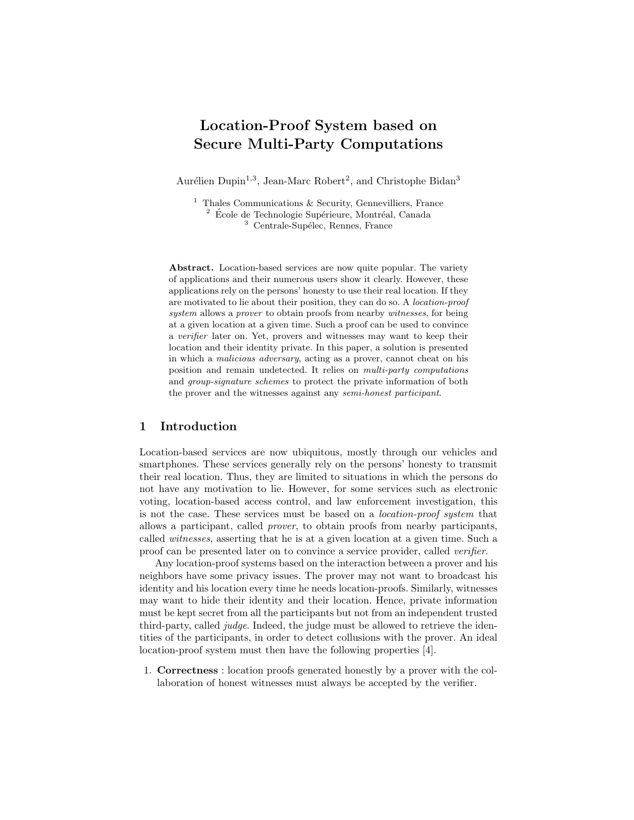# Location-Proof System based on Secure Multi-Party Computations

Aurélien Dupin<sup>1,3</sup>, Jean-Marc Robert<sup>2</sup>, and Christophe Bidan<sup>3</sup>

<sup>1</sup> Thales Communications  $\&$  Security, Gennevilliers, France  $2\,$  École de Technologie Supérieure, Montréal, Canada <sup>3</sup> Centrale-Supélec, Rennes, France

Abstract. Location-based services are now quite popular. The variety of applications and their numerous users show it clearly. However, these applications rely on the persons' honesty to use their real location. If they are motivated to lie about their position, they can do so. A location-proof system allows a *prover* to obtain proofs from nearby *witnesses*, for being at a given location at a given time. Such a proof can be used to convince a verifier later on. Yet, provers and witnesses may want to keep their location and their identity private. In this paper, a solution is presented in which a malicious adversary, acting as a prover, cannot cheat on his position and remain undetected. It relies on multi-party computations and group-signature schemes to protect the private information of both the prover and the witnesses against any semi-honest participant.

# 1 Introduction

Location-based services are now ubiquitous, mostly through our vehicles and smartphones. These services generally rely on the persons' honesty to transmit their real location. Thus, they are limited to situations in which the persons do not have any motivation to lie. However, for some services such as electronic voting, location-based access control, and law enforcement investigation, this is not the case. These services must be based on a location-proof system that allows a participant, called prover, to obtain proofs from nearby participants, called witnesses, asserting that he is at a given location at a given time. Such a proof can be presented later on to convince a service provider, called verifier.

Any location-proof systems based on the interaction between a prover and his neighbors have some privacy issues. The prover may not want to broadcast his identity and his location every time he needs location-proofs. Similarly, witnesses may want to hide their identity and their location. Hence, private information must be kept secret from all the participants but not from an independent trusted third-party, called judge. Indeed, the judge must be allowed to retrieve the identities of the participants, in order to detect collusions with the prover. An ideal location-proof system must then have the following properties [4].

1. Correctness : location proofs generated honestly by a prover with the collaboration of honest witnesses must always be accepted by the verifier.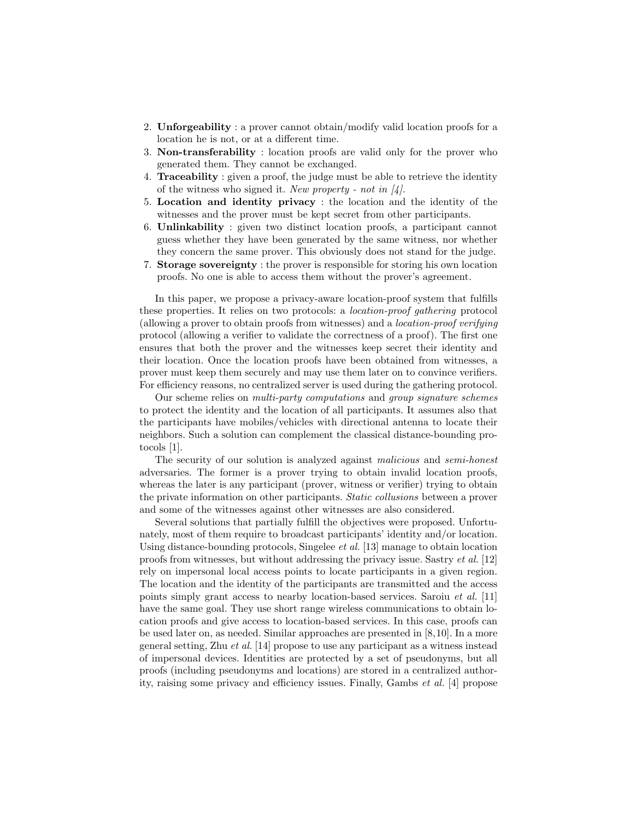- 2. Unforgeability : a prover cannot obtain/modify valid location proofs for a location he is not, or at a different time.
- 3. Non-transferability : location proofs are valid only for the prover who generated them. They cannot be exchanged.
- 4. Traceability : given a proof, the judge must be able to retrieve the identity of the witness who signed it. New property - not in  $[4]$ .
- 5. Location and identity privacy : the location and the identity of the witnesses and the prover must be kept secret from other participants.
- 6. Unlinkability : given two distinct location proofs, a participant cannot guess whether they have been generated by the same witness, nor whether they concern the same prover. This obviously does not stand for the judge.
- 7. Storage sovereignty : the prover is responsible for storing his own location proofs. No one is able to access them without the prover's agreement.

In this paper, we propose a privacy-aware location-proof system that fulfills these properties. It relies on two protocols: a location-proof gathering protocol (allowing a prover to obtain proofs from witnesses) and a location-proof verifying protocol (allowing a verifier to validate the correctness of a proof). The first one ensures that both the prover and the witnesses keep secret their identity and their location. Once the location proofs have been obtained from witnesses, a prover must keep them securely and may use them later on to convince verifiers. For efficiency reasons, no centralized server is used during the gathering protocol.

Our scheme relies on multi-party computations and group signature schemes to protect the identity and the location of all participants. It assumes also that the participants have mobiles/vehicles with directional antenna to locate their neighbors. Such a solution can complement the classical distance-bounding protocols [1].

The security of our solution is analyzed against malicious and semi-honest adversaries. The former is a prover trying to obtain invalid location proofs, whereas the later is any participant (prover, witness or verifier) trying to obtain the private information on other participants. Static collusions between a prover and some of the witnesses against other witnesses are also considered.

Several solutions that partially fulfill the objectives were proposed. Unfortunately, most of them require to broadcast participants' identity and/or location. Using distance-bounding protocols, Singelee et al. [13] manage to obtain location proofs from witnesses, but without addressing the privacy issue. Sastry et al. [12] rely on impersonal local access points to locate participants in a given region. The location and the identity of the participants are transmitted and the access points simply grant access to nearby location-based services. Saroiu et al. [11] have the same goal. They use short range wireless communications to obtain location proofs and give access to location-based services. In this case, proofs can be used later on, as needed. Similar approaches are presented in [8,10]. In a more general setting, Zhu et al. [14] propose to use any participant as a witness instead of impersonal devices. Identities are protected by a set of pseudonyms, but all proofs (including pseudonyms and locations) are stored in a centralized authority, raising some privacy and efficiency issues. Finally, Gambs et al. [4] propose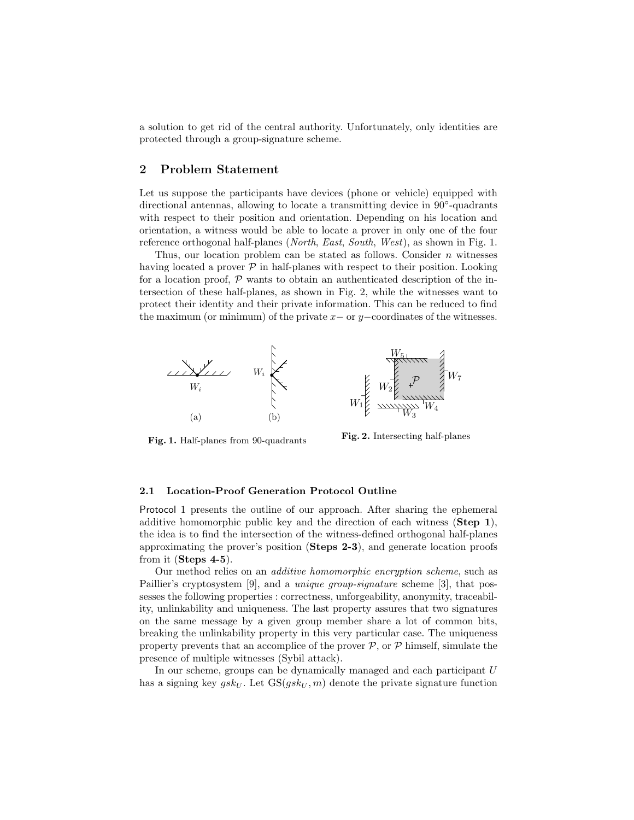a solution to get rid of the central authority. Unfortunately, only identities are protected through a group-signature scheme.

# 2 Problem Statement

Let us suppose the participants have devices (phone or vehicle) equipped with directional antennas, allowing to locate a transmitting device in 90°-quadrants with respect to their position and orientation. Depending on his location and orientation, a witness would be able to locate a prover in only one of the four reference orthogonal half-planes (North, East, South, West), as shown in Fig. 1.

Thus, our location problem can be stated as follows. Consider  $n$  witnesses having located a prover  $P$  in half-planes with respect to their position. Looking for a location proof,  $P$  wants to obtain an authenticated description of the intersection of these half-planes, as shown in Fig. 2, while the witnesses want to protect their identity and their private information. This can be reduced to find the maximum (or minimum) of the private  $x-$  or  $y-$ coordinates of the witnesses.



Fig. 1. Half-planes from 90-quadrants

Fig. 2. Intersecting half-planes

### 2.1 Location-Proof Generation Protocol Outline

Protocol 1 presents the outline of our approach. After sharing the ephemeral additive homomorphic public key and the direction of each witness (Step 1), the idea is to find the intersection of the witness-defined orthogonal half-planes approximating the prover's position (Steps 2-3), and generate location proofs from it (Steps 4-5).

Our method relies on an additive homomorphic encryption scheme, such as Paillier's cryptosystem [9], and a *unique group-signature* scheme [3], that possesses the following properties : correctness, unforgeability, anonymity, traceability, unlinkability and uniqueness. The last property assures that two signatures on the same message by a given group member share a lot of common bits, breaking the unlinkability property in this very particular case. The uniqueness property prevents that an accomplice of the prover  $P$ , or  $P$  himself, simulate the presence of multiple witnesses (Sybil attack).

In our scheme, groups can be dynamically managed and each participant U has a signing key  $gsk_U$ . Let  $GS(gsk_U, m)$  denote the private signature function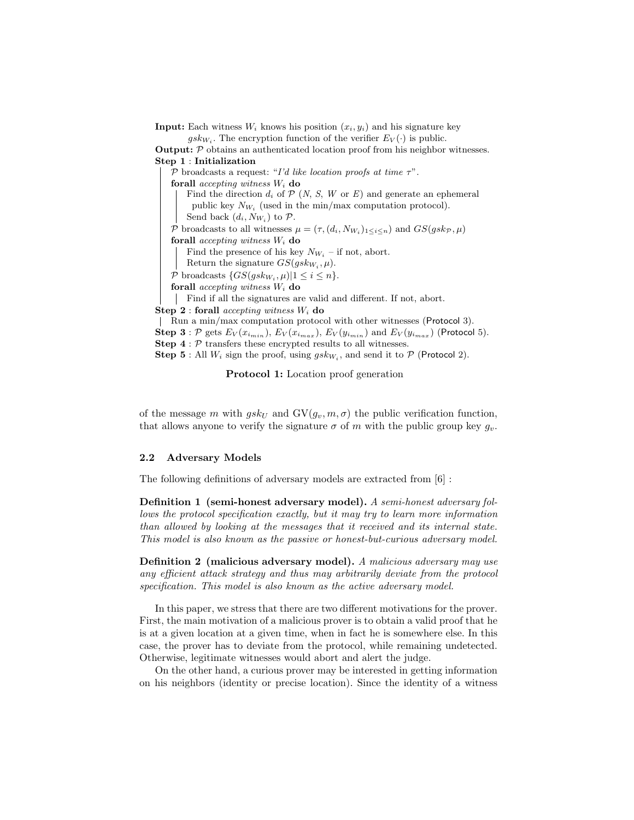**Input:** Each witness  $W_i$  knows his position  $(x_i, y_i)$  and his signature key  $gsk_{W_i}$ . The encryption function of the verifier  $E_V(\cdot)$  is public. Output: P obtains an authenticated location proof from his neighbor witnesses. Step 1 : Initialization P broadcasts a request: "I'd like location proofs at time  $\tau$ ". forall *accepting witness*  $W_i$  do Find the direction  $d_i$  of  $P$  (N, S, W or E) and generate an ephemeral public key  $N_{W_i}$  (used in the min/max computation protocol). Send back  $(d_i, N_{W_i})$  to  $P$ . P broadcasts to all witnesses  $\mu = (\tau, (d_i, N_{W_i})_{1 \leq i \leq n})$  and  $GS(gsk_{\mathcal{P}}, \mu)$ forall *accepting witness*  $W_i$  do Find the presence of his key  $N_{W_i}$  – if not, abort. Return the signature  $GS(gskw_i, \mu)$ .  $P$  broadcasts  $\{GS(gsk_{W_i}, \mu)|1 \leq i \leq n\}.$ forall *accepting witness*  $W_i$  do Find if all the signatures are valid and different. If not, abort. Step 2 : forall *accepting witness*  $W_i$  do Run a min/max computation protocol with other witnesses (Protocol 3). **Step 3** : P gets  $E_V(x_{i_{min}})$ ,  $E_V(x_{i_{max}})$ ,  $E_V(y_{i_{min}})$  and  $E_V(y_{i_{max}})$  (Protocol 5). **Step 4** :  $P$  transfers these encrypted results to all witnesses. **Step 5**: All  $W_i$  sign the proof, using  $gsk_{W_i}$ , and send it to  $P$  (Protocol 2).

Protocol 1: Location proof generation

of the message m with  $g s k_U$  and  $\mathrm{GV}(g_v, m, \sigma)$  the public verification function, that allows anyone to verify the signature  $\sigma$  of m with the public group key  $g_v$ .

#### 2.2 Adversary Models

The following definitions of adversary models are extracted from [6] :

Definition 1 (semi-honest adversary model). A semi-honest adversary follows the protocol specification exactly, but it may try to learn more information than allowed by looking at the messages that it received and its internal state. This model is also known as the passive or honest-but-curious adversary model.

Definition 2 (malicious adversary model). A malicious adversary may use any efficient attack strategy and thus may arbitrarily deviate from the protocol specification. This model is also known as the active adversary model.

In this paper, we stress that there are two different motivations for the prover. First, the main motivation of a malicious prover is to obtain a valid proof that he is at a given location at a given time, when in fact he is somewhere else. In this case, the prover has to deviate from the protocol, while remaining undetected. Otherwise, legitimate witnesses would abort and alert the judge.

On the other hand, a curious prover may be interested in getting information on his neighbors (identity or precise location). Since the identity of a witness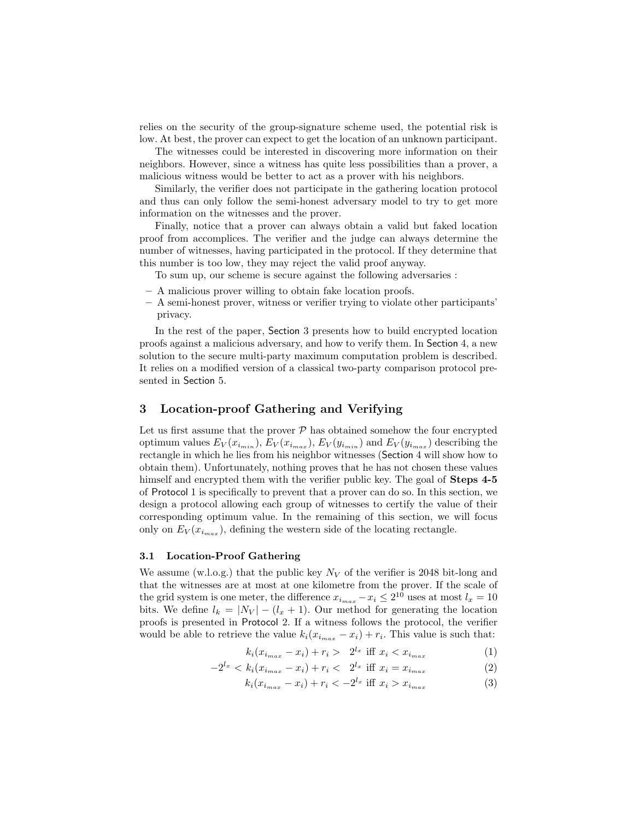relies on the security of the group-signature scheme used, the potential risk is low. At best, the prover can expect to get the location of an unknown participant.

The witnesses could be interested in discovering more information on their neighbors. However, since a witness has quite less possibilities than a prover, a malicious witness would be better to act as a prover with his neighbors.

Similarly, the verifier does not participate in the gathering location protocol and thus can only follow the semi-honest adversary model to try to get more information on the witnesses and the prover.

Finally, notice that a prover can always obtain a valid but faked location proof from accomplices. The verifier and the judge can always determine the number of witnesses, having participated in the protocol. If they determine that this number is too low, they may reject the valid proof anyway.

To sum up, our scheme is secure against the following adversaries :

- A malicious prover willing to obtain fake location proofs.
- A semi-honest prover, witness or verifier trying to violate other participants' privacy.

In the rest of the paper, Section 3 presents how to build encrypted location proofs against a malicious adversary, and how to verify them. In Section 4, a new solution to the secure multi-party maximum computation problem is described. It relies on a modified version of a classical two-party comparison protocol presented in Section 5.

# 3 Location-proof Gathering and Verifying

Let us first assume that the prover  $P$  has obtained somehow the four encrypted optimum values  $E_V(x_{i_{min}})$ ,  $E_V(x_{i_{max}})$ ,  $E_V(y_{i_{min}})$  and  $E_V(y_{i_{max}})$  describing the rectangle in which he lies from his neighbor witnesses (Section 4 will show how to obtain them). Unfortunately, nothing proves that he has not chosen these values himself and encrypted them with the verifier public key. The goal of **Steps 4-5** of Protocol 1 is specifically to prevent that a prover can do so. In this section, we design a protocol allowing each group of witnesses to certify the value of their corresponding optimum value. In the remaining of this section, we will focus only on  $E_V(x_{i_{max}})$ , defining the western side of the locating rectangle.

#### 3.1 Location-Proof Gathering

We assume (w.l.o.g.) that the public key  $N_V$  of the verifier is 2048 bit-long and that the witnesses are at most at one kilometre from the prover. If the scale of the grid system is one meter, the difference  $x_{i_{max}} - x_i \leq 2^{10}$  uses at most  $l_x = 10$ bits. We define  $l_k = |N_V| - (l_x + 1)$ . Our method for generating the location proofs is presented in Protocol 2. If a witness follows the protocol, the verifier would be able to retrieve the value  $k_i(x_{i_{max}} - x_i) + r_i$ . This value is such that:

$$
k_i(x_{i_{max}} - x_i) + r_i > 2^{l_x} \text{ iff } x_i < x_{i_{max}} \tag{1}
$$

$$
-2^{l_x} < k_i(x_{i_{max}} - x_i) + r_i < 2^{l_x} \text{ iff } x_i = x_{i_{max}} \tag{2}
$$

$$
k_i(x_{i_{max}} - x_i) + r_i < -2^{l_x} \text{ iff } x_i > x_{i_{max}} \tag{3}
$$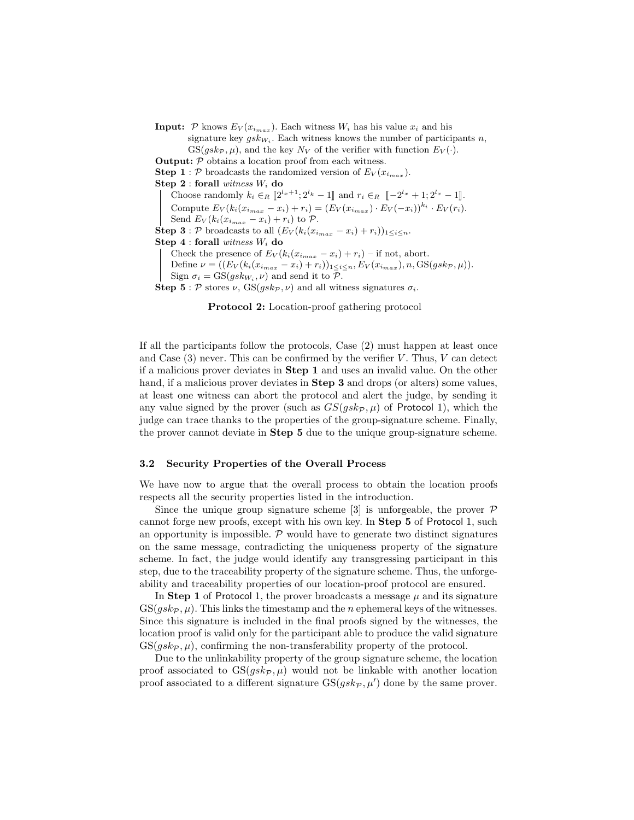**Input:** P knows  $E_V(x_{i_{max}})$ . Each witness  $W_i$  has his value  $x_i$  and his

signature key  $gsk_{W_i}$ . Each witness knows the number of participants n,  $GS(gsk_{\mathcal{P}}, \mu)$ , and the key  $N_V$  of the verifier with function  $E_V(\cdot)$ .

**Output:**  $P$  obtains a location proof from each witness.

**Step 1** : P broadcasts the randomized version of  $E_V(x_{i_{max}})$ .

Step  $2:$  forall witness  $W_i$  do

Choose randomly  $k_i \in_R \left[2^{l_x+1}; 2^{l_k} - 1\right]$  and  $r_i \in_R \left[-2^{l_x} + 1; 2^{l_x} - 1\right]$ .

Compute  $E_V(k_i(x_{i_{max}} - x_i) + r_i) = (E_V(x_{i_{max}}) \cdot E_V(-x_i))^{k_i} \cdot E_V(r_i)$ .

Send  $E_V(k_i(x_{i_{max}} - x_i) + r_i)$  to  $\mathcal{P}$ .

**Step 3** : P broadcasts to all  $(E_V(k_i(x_{i_{max}} - x_i) + r_i))_{1 \leq i \leq n}$ .

Step  $4:$  forall witness  $W_i$  do

Check the presence of  $E_V(k_i(x_{i_{max}} - x_i) + r_i)$  – if not, abort.

Define  $\nu = ((E_V(k_i(x_{i_{max}} - x_i) + r_i))_{1 \leq i \leq n}, E_V(x_{i_{max}}), n, GS(gsk_{\mathcal{P}}, \mu)).$ 

Sign  $\sigma_i = \text{GS}(gsk_{W_i}, \nu)$  and send it to  $\mathcal{P}$ .

Step 5 : P stores  $\nu$ , GS( $gsk_{\mathcal{P}}$ ,  $\nu$ ) and all witness signatures  $\sigma_i$ .

Protocol 2: Location-proof gathering protocol

If all the participants follow the protocols, Case (2) must happen at least once and Case  $(3)$  never. This can be confirmed by the verifier V. Thus, V can detect if a malicious prover deviates in Step 1 and uses an invalid value. On the other hand, if a malicious prover deviates in **Step 3** and drops (or alters) some values, at least one witness can abort the protocol and alert the judge, by sending it any value signed by the prover (such as  $GS(qsk_p, \mu)$  of Protocol 1), which the judge can trace thanks to the properties of the group-signature scheme. Finally, the prover cannot deviate in Step 5 due to the unique group-signature scheme.

#### 3.2 Security Properties of the Overall Process

We have now to argue that the overall process to obtain the location proofs respects all the security properties listed in the introduction.

Since the unique group signature scheme [3] is unforgeable, the prover  $\mathcal P$ cannot forge new proofs, except with his own key. In Step 5 of Protocol 1, such an opportunity is impossible.  $P$  would have to generate two distinct signatures on the same message, contradicting the uniqueness property of the signature scheme. In fact, the judge would identify any transgressing participant in this step, due to the traceability property of the signature scheme. Thus, the unforgeability and traceability properties of our location-proof protocol are ensured.

In Step 1 of Protocol 1, the prover broadcasts a message  $\mu$  and its signature  $GS(gs_k_{\mathcal{P}}, \mu$ . This links the timestamp and the *n* ephemeral keys of the witnesses. Since this signature is included in the final proofs signed by the witnesses, the location proof is valid only for the participant able to produce the valid signature  $GS(qsk_{\mathcal{P}}, \mu)$ , confirming the non-transferability property of the protocol.

Due to the unlinkability property of the group signature scheme, the location proof associated to  $GS(gsk_p, \mu)$  would not be linkable with another location proof associated to a different signature  $GS(gsk_p, \mu')$  done by the same prover.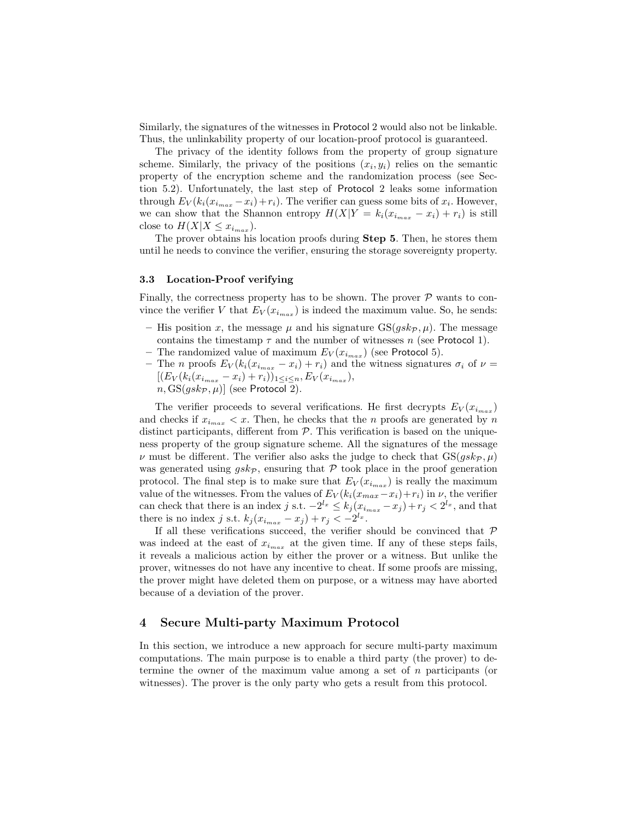Similarly, the signatures of the witnesses in Protocol 2 would also not be linkable. Thus, the unlinkability property of our location-proof protocol is guaranteed.

The privacy of the identity follows from the property of group signature scheme. Similarly, the privacy of the positions  $(x_i, y_i)$  relies on the semantic property of the encryption scheme and the randomization process (see Section 5.2). Unfortunately, the last step of Protocol 2 leaks some information through  $E_V(k_i(x_{i_{max}} - x_i) + r_i)$ . The verifier can guess some bits of  $x_i$ . However, we can show that the Shannon entropy  $H(X|Y = k_i(x_{i_{max}} - x_i) + r_i)$  is still close to  $H(X|X \leq x_{i_{max}})$ .

The prover obtains his location proofs during Step 5. Then, he stores them until he needs to convince the verifier, ensuring the storage sovereignty property.

### 3.3 Location-Proof verifying

Finally, the correctness property has to be shown. The prover  $P$  wants to convince the verifier V that  $E_V(x_{i_{max}})$  is indeed the maximum value. So, he sends:

- His position x, the message  $\mu$  and his signature  $GS(gsk_p, \mu)$ . The message contains the timestamp  $\tau$  and the number of witnesses n (see Protocol 1).
- The randomized value of maximum  $E_V(x_{i_{max}})$  (see Protocol 5).
- The n proofs  $E_V(k_i(x_{i_{max}} x_i) + r_i)$  and the witness signatures  $\sigma_i$  of  $\nu =$  $[(E_V(k_i(x_{i_{max}}-x_i)+r_i))_{1\leq i\leq n},E_V(x_{i_{max}}),$  $n, GS(gskp, \mu)]$  (see Protocol 2).

The verifier proceeds to several verifications. He first decrypts  $E_V(x_{i_{max}})$ and checks if  $x_{i_{max}} < x$ . Then, he checks that the n proofs are generated by n distinct participants, different from  $P$ . This verification is based on the uniqueness property of the group signature scheme. All the signatures of the message  $\nu$  must be different. The verifier also asks the judge to check that  $GS(gsk_{\mathcal{P}}, \mu)$ was generated using  $gsk_{\mathcal{P}}$ , ensuring that  $\mathcal P$  took place in the proof generation protocol. The final step is to make sure that  $E_V(x_{i_{max}})$  is really the maximum value of the witnesses. From the values of  $E_V(k_i(x_{max}-x_i)+r_i)$  in  $\nu$ , the verifier can check that there is an index j s.t.  $-2^{l_x} \leq k_j (x_{i_{max}} - x_j) + r_j < 2^{l_x}$ , and that there is no index j s.t.  $k_j$  $(x_{i_{max}} - x_j) + r_j < -2^{l_x}$ .

If all these verifications succeed, the verifier should be convinced that  $P$ was indeed at the east of  $x_{i_{max}}$  at the given time. If any of these steps fails, it reveals a malicious action by either the prover or a witness. But unlike the prover, witnesses do not have any incentive to cheat. If some proofs are missing, the prover might have deleted them on purpose, or a witness may have aborted because of a deviation of the prover.

# 4 Secure Multi-party Maximum Protocol

In this section, we introduce a new approach for secure multi-party maximum computations. The main purpose is to enable a third party (the prover) to determine the owner of the maximum value among a set of n participants (or witnesses). The prover is the only party who gets a result from this protocol.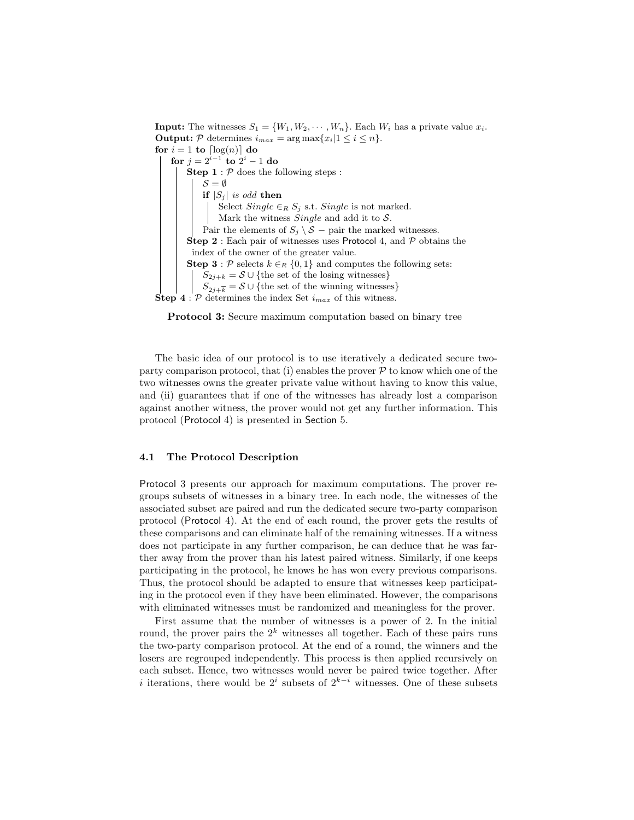**Input:** The witnesses  $S_1 = \{W_1, W_2, \dots, W_n\}$ . Each  $W_i$  has a private value  $x_i$ . **Output:**  $P$  determines  $i_{max} = \arg \max \{x_i | 1 \leq i \leq n\}.$ for  $i = 1$  to  $\lceil \log(n) \rceil$  do for  $j = 2^{i-1}$  to  $2^i - 1$  do **Step 1** :  $P$  does the following steps :  $\mathcal{S} = \emptyset$ if  $|S_i|$  is odd then Select  $Single \in_R S_j$  s.t.  $Single$  is not marked. Mark the witness *Single* and add it to  $S$ . Pair the elements of  $S_i \setminus S$  – pair the marked witnesses. **Step 2** : Each pair of witnesses uses Protocol 4, and  $P$  obtains the index of the owner of the greater value. Step 3 : P selects  $k \in_R \{0,1\}$  and computes the following sets:  $S_{2j+k} = S \cup \{$ the set of the losing witnesses}  $S_{2j+\overline{k}} = \mathcal{S} \cup \{\text{the set of the winning witnesses}\}$ **Step 4** :  $P$  determines the index Set  $i_{max}$  of this witness.

Protocol 3: Secure maximum computation based on binary tree

The basic idea of our protocol is to use iteratively a dedicated secure twoparty comparison protocol, that (i) enables the prover  $P$  to know which one of the two witnesses owns the greater private value without having to know this value, and (ii) guarantees that if one of the witnesses has already lost a comparison against another witness, the prover would not get any further information. This protocol (Protocol 4) is presented in Section 5.

### 4.1 The Protocol Description

Protocol 3 presents our approach for maximum computations. The prover regroups subsets of witnesses in a binary tree. In each node, the witnesses of the associated subset are paired and run the dedicated secure two-party comparison protocol (Protocol 4). At the end of each round, the prover gets the results of these comparisons and can eliminate half of the remaining witnesses. If a witness does not participate in any further comparison, he can deduce that he was farther away from the prover than his latest paired witness. Similarly, if one keeps participating in the protocol, he knows he has won every previous comparisons. Thus, the protocol should be adapted to ensure that witnesses keep participating in the protocol even if they have been eliminated. However, the comparisons with eliminated witnesses must be randomized and meaningless for the prover.

First assume that the number of witnesses is a power of 2. In the initial round, the prover pairs the  $2^k$  witnesses all together. Each of these pairs runs the two-party comparison protocol. At the end of a round, the winners and the losers are regrouped independently. This process is then applied recursively on each subset. Hence, two witnesses would never be paired twice together. After *i* iterations, there would be  $2^{i}$  subsets of  $2^{k-i}$  witnesses. One of these subsets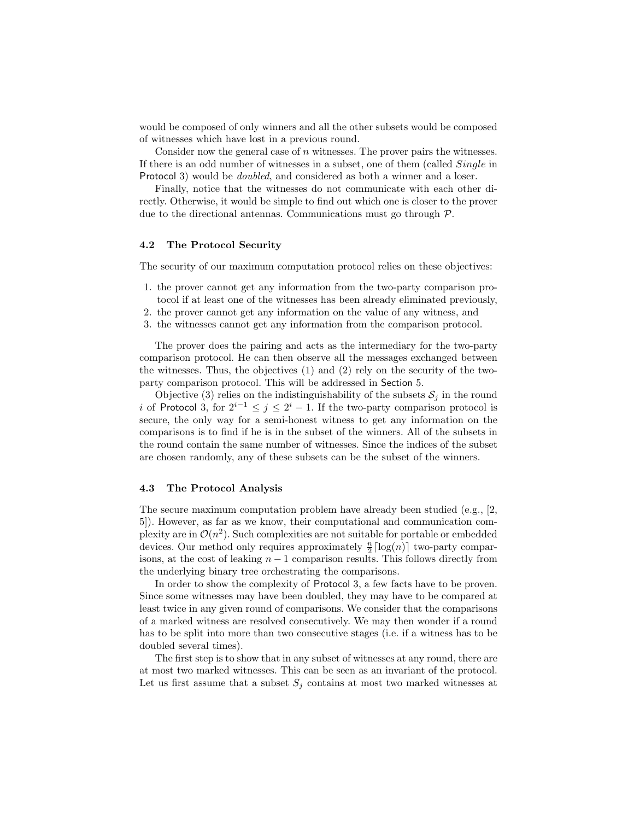would be composed of only winners and all the other subsets would be composed of witnesses which have lost in a previous round.

Consider now the general case of  $n$  witnesses. The prover pairs the witnesses. If there is an odd number of witnesses in a subset, one of them (called Single in Protocol 3) would be *doubled*, and considered as both a winner and a loser.

Finally, notice that the witnesses do not communicate with each other directly. Otherwise, it would be simple to find out which one is closer to the prover due to the directional antennas. Communications must go through P.

#### 4.2 The Protocol Security

The security of our maximum computation protocol relies on these objectives:

- 1. the prover cannot get any information from the two-party comparison protocol if at least one of the witnesses has been already eliminated previously,
- 2. the prover cannot get any information on the value of any witness, and
- 3. the witnesses cannot get any information from the comparison protocol.

The prover does the pairing and acts as the intermediary for the two-party comparison protocol. He can then observe all the messages exchanged between the witnesses. Thus, the objectives (1) and (2) rely on the security of the twoparty comparison protocol. This will be addressed in Section 5.

Objective (3) relies on the indistinguishability of the subsets  $S_i$  in the round i of Protocol 3, for  $2^{i-1} \leq j \leq 2^i - 1$ . If the two-party comparison protocol is secure, the only way for a semi-honest witness to get any information on the comparisons is to find if he is in the subset of the winners. All of the subsets in the round contain the same number of witnesses. Since the indices of the subset are chosen randomly, any of these subsets can be the subset of the winners.

#### 4.3 The Protocol Analysis

The secure maximum computation problem have already been studied (e.g., [2, 5]). However, as far as we know, their computational and communication complexity are in  $\mathcal{O}(n^2)$ . Such complexities are not suitable for portable or embedded devices. Our method only requires approximately  $\frac{n}{2} \lceil \log(n) \rceil$  two-party comparisons, at the cost of leaking  $n - 1$  comparison results. This follows directly from the underlying binary tree orchestrating the comparisons.

In order to show the complexity of Protocol 3, a few facts have to be proven. Since some witnesses may have been doubled, they may have to be compared at least twice in any given round of comparisons. We consider that the comparisons of a marked witness are resolved consecutively. We may then wonder if a round has to be split into more than two consecutive stages (i.e. if a witness has to be doubled several times).

The first step is to show that in any subset of witnesses at any round, there are at most two marked witnesses. This can be seen as an invariant of the protocol. Let us first assume that a subset  $S_j$  contains at most two marked witnesses at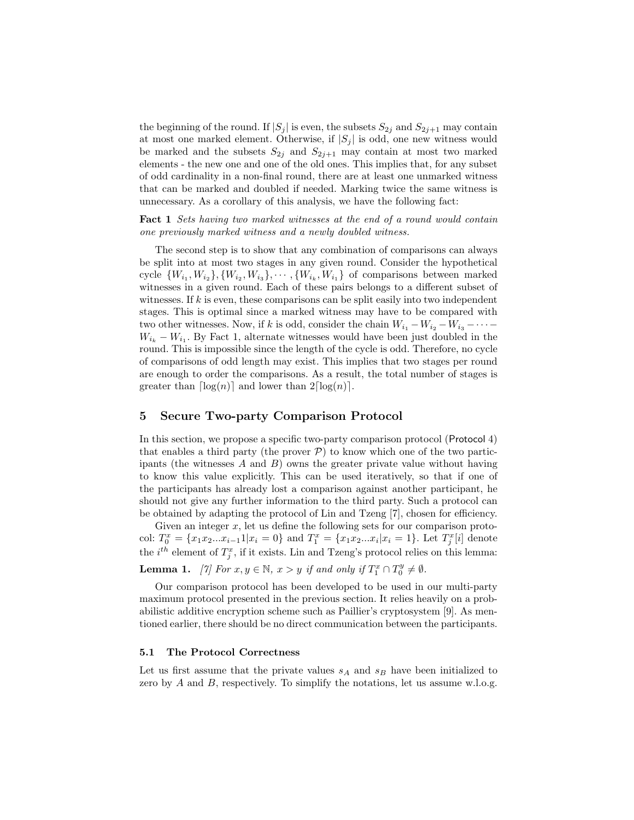the beginning of the round. If  $|S_j|$  is even, the subsets  $S_{2j}$  and  $S_{2j+1}$  may contain at most one marked element. Otherwise, if  $|S_j|$  is odd, one new witness would be marked and the subsets  $S_{2j}$  and  $S_{2j+1}$  may contain at most two marked elements - the new one and one of the old ones. This implies that, for any subset of odd cardinality in a non-final round, there are at least one unmarked witness that can be marked and doubled if needed. Marking twice the same witness is unnecessary. As a corollary of this analysis, we have the following fact:

Fact 1 Sets having two marked witnesses at the end of a round would contain one previously marked witness and a newly doubled witness.

The second step is to show that any combination of comparisons can always be split into at most two stages in any given round. Consider the hypothetical cycle  $\{W_{i_1}, W_{i_2}\}, \{W_{i_2}, W_{i_3}\}, \cdots, \{W_{i_k}, W_{i_1}\}\$  of comparisons between marked witnesses in a given round. Each of these pairs belongs to a different subset of witnesses. If  $k$  is even, these comparisons can be split easily into two independent stages. This is optimal since a marked witness may have to be compared with two other witnesses. Now, if k is odd, consider the chain  $W_{i_1} - W_{i_2} - W_{i_3} - \cdots$  $W_{i_k} - W_{i_1}$ . By Fact 1, alternate witnesses would have been just doubled in the round. This is impossible since the length of the cycle is odd. Therefore, no cycle of comparisons of odd length may exist. This implies that two stages per round are enough to order the comparisons. As a result, the total number of stages is greater than  $\lceil \log(n) \rceil$  and lower than  $2\lceil \log(n) \rceil$ .

# 5 Secure Two-party Comparison Protocol

In this section, we propose a specific two-party comparison protocol (Protocol 4) that enables a third party (the prover  $P$ ) to know which one of the two participants (the witnesses  $A$  and  $B$ ) owns the greater private value without having to know this value explicitly. This can be used iteratively, so that if one of the participants has already lost a comparison against another participant, he should not give any further information to the third party. Such a protocol can be obtained by adapting the protocol of Lin and Tzeng [7], chosen for efficiency.

Given an integer x, let us define the following sets for our comparison protocol:  $T_0^x = \{x_1x_2...x_{i-1}1|x_i=0\}$  and  $T_1^x = \{x_1x_2...x_i|x_i=1\}$ . Let  $T_j^x[i]$  denote the  $i^{th}$  element of  $T_j^x$ , if it exists. Lin and Tzeng's protocol relies on this lemma:

**Lemma 1.** [7] For  $x, y \in \mathbb{N}, x > y$  if and only if  $T_1^x \cap T_0^y \neq \emptyset$ .

Our comparison protocol has been developed to be used in our multi-party maximum protocol presented in the previous section. It relies heavily on a probabilistic additive encryption scheme such as Paillier's cryptosystem [9]. As mentioned earlier, there should be no direct communication between the participants.

#### 5.1 The Protocol Correctness

Let us first assume that the private values  $s_A$  and  $s_B$  have been initialized to zero by  $A$  and  $B$ , respectively. To simplify the notations, let us assume w.l.o.g.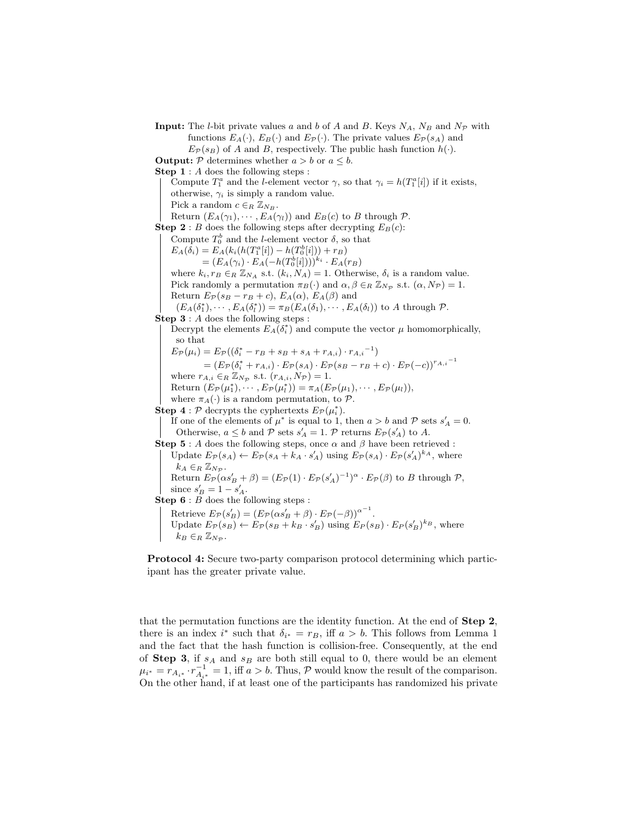**Input:** The *l*-bit private values a and b of A and B. Keys  $N_A$ ,  $N_B$  and  $N_P$  with functions  $E_A(\cdot)$ ,  $E_B(\cdot)$  and  $E_{\mathcal{P}}(\cdot)$ . The private values  $E_{\mathcal{P}}(s_A)$  and  $E_{\mathcal{P}}(s_B)$  of A and B, respectively. The public hash function  $h(\cdot)$ .

**Output:** P determines whether  $a > b$  or  $a \leq b$ .

Step 1 : A does the following steps :

Compute  $T_1^a$  and the *l*-element vector  $\gamma$ , so that  $\gamma_i = h(T_1^a[i])$  if it exists, otherwise,  $\gamma_i$  is simply a random value.

Pick a random  $c \in_R \mathbb{Z}_{N_B}$ .

Return  $(E_A(\gamma_1), \cdots, E_A(\gamma_l))$  and  $E_B(c)$  to B through  $\mathcal{P}$ .

**Step 2** : B does the following steps after decrypting  $E_B(c)$ :

Compute  $T_0^b$  and the *l*-element vector  $\delta$ , so that

 $E_A(\delta_i) = E_A(k_i(h(T_1^a[i]) - h(T_0^b[i])) + r_B)$ 

 $=(E_A(\gamma_i) \cdot E_A(-h(T_0^b[i]))^{k_i} \cdot E_A(r_B))$ 

where  $k_i$ ,  $r_B \in_R \mathbb{Z}_{N_A}$  s.t.  $(k_i, N_A) = 1$ . Otherwise,  $\delta_i$  is a random value. Pick randomly a permutation  $\pi_B(\cdot)$  and  $\alpha, \beta \in_R \mathbb{Z}_{N_{\mathcal{P}}}$  s.t.  $(\alpha, N_{\mathcal{P}}) = 1$ . Return  $E_{\mathcal{P}}(s_B - r_B + c)$ ,  $E_A(\alpha)$ ,  $E_A(\beta)$  and

 $(E_A(\delta_1^*), \cdots, E_A(\delta_l^*)) = \pi_B(E_A(\delta_1), \cdots, E_A(\delta_l))$  to A through P. Step  $3: A$  does the following steps :

Decrypt the elements  $E_A(\delta_i^*)$  and compute the vector  $\mu$  homomorphically, so that

 $E_{\mathcal{P}}(\mu_i) = E_{\mathcal{P}}((\delta_i^* - r_B + s_B + s_A + r_{A,i}) \cdot r_{A,i}^{-1})$  $=(E_{\mathcal{P}}(\delta_i^*+r_{A,i})\cdot E_{\mathcal{P}}(s_A)\cdot E_{\mathcal{P}}(s_B-r_B+c)\cdot E_{\mathcal{P}}(-c))^{r_{A,i}^{-1}}$ 

where  $r_{A,i} \in_R \mathbb{Z}_{N_{\mathcal{P}}}$  s.t.  $(r_{A,i}, N_{\mathcal{P}}) = 1$ . Return  $(E_{\mathcal{P}}(\mu_1^*), \cdots, E_{\mathcal{P}}(\mu_l^*)) = \pi_A(E_{\mathcal{P}}(\mu_1), \cdots, E_{\mathcal{P}}(\mu_l)),$ 

where  $\pi_A(\cdot)$  is a random permutation, to  $\mathcal{P}$ .

**Step 4** :  $\mathcal{P}$  decrypts the cyphertexts  $E_{\mathcal{P}}(\mu_i^*)$ .

If one of the elements of  $\mu^*$  is equal to 1, then  $a > b$  and  $P$  sets  $s'_A = 0$ . Otherwise,  $a \leq b$  and  $P$  sets  $s'_{A} = 1$ .  $P$  returns  $E_{P}(s'_{A})$  to A.

 $\textbf{Step 5}: A \text{ does the following steps, once } \alpha \text{ and } \beta \text{ have been retrieved : }$ 

Update  $E_{\mathcal{P}}(s_A) \leftarrow E_{\mathcal{P}}(s_A + k_A \cdot s_A')$  using  $E_{\mathcal{P}}(s_A) \cdot E_{\mathcal{P}}(s_A')^{k_A}$ , where  $k_A \in_R \mathbb{Z}_{N_{\mathcal{P}}}$ .

Return  $E_{\mathcal{P}}(\alpha s'_{B} + \beta) = (E_{\mathcal{P}}(1) \cdot E_{\mathcal{P}}(s'_{A})^{-1})^{\alpha} \cdot E_{\mathcal{P}}(\beta)$  to B through  $\mathcal{P}$ , since  $s'_B = 1 - s'_A$ .

**Step 6** :  $B$  does the following steps :

Retrieve  $E_{\mathcal{P}}(s'_{B}) = (E_{\mathcal{P}}(\alpha s'_{B} + \beta) \cdot E_{\mathcal{P}}(-\beta))^{\alpha^{-1}}$ . Update  $E_{\mathcal{P}}(s_B) \leftarrow E_{\mathcal{P}}(s_B + k_B \cdot s_B')$  using  $E_{\mathcal{P}}(s_B) \cdot E_{\mathcal{P}}(s_B')^{k_B}$ , where  $k_B \in_R \mathbb{Z}_{N_{\mathcal{D}}}$ .

Protocol 4: Secure two-party comparison protocol determining which participant has the greater private value.

that the permutation functions are the identity function. At the end of Step 2, there is an index  $i^*$  such that  $\delta_{i^*} = r_B$ , iff  $a > b$ . This follows from Lemma 1 and the fact that the hash function is collision-free. Consequently, at the end of **Step 3**, if  $s_A$  and  $s_B$  are both still equal to 0, there would be an element  $\mu_{i^*} = r_{A_{i^*}} \cdot r_{A_{i^*}}^{-1} = 1$ , iff  $a > b$ . Thus, P would know the result of the comparison. On the other hand, if at least one of the participants has randomized his private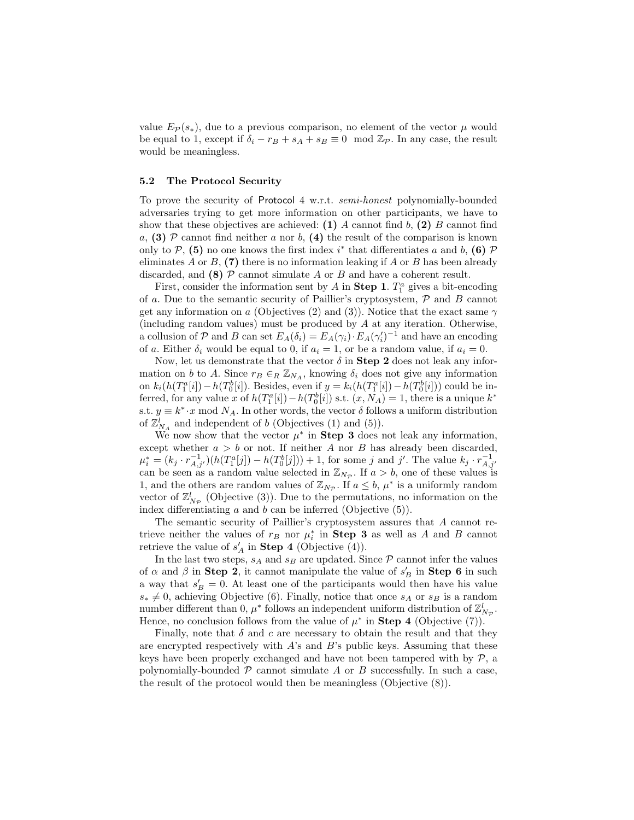value  $E_{\mathcal{P}}(s_*)$ , due to a previous comparison, no element of the vector  $\mu$  would be equal to 1, except if  $\delta_i - r_B + s_A + s_B \equiv 0 \mod \mathbb{Z}_{\mathcal{P}}$ . In any case, the result would be meaningless.

#### 5.2 The Protocol Security

To prove the security of Protocol 4 w.r.t. semi-honest polynomially-bounded adversaries trying to get more information on other participants, we have to show that these objectives are achieved: (1) A cannot find b, (2) B cannot find a, (3) P cannot find neither a nor b, (4) the result of the comparison is known only to  $P$ , (5) no one knows the first index  $i^*$  that differentiates a and b, (6)  $P$ eliminates A or B,  $(7)$  there is no information leaking if A or B has been already discarded, and (8)  $\mathcal P$  cannot simulate A or B and have a coherent result.

First, consider the information sent by A in **Step 1**.  $T_1^a$  gives a bit-encoding of a. Due to the semantic security of Paillier's cryptosystem,  $P$  and  $B$  cannot get any information on a (Objectives (2) and (3)). Notice that the exact same  $\gamma$ (including random values) must be produced by A at any iteration. Otherwise, a collusion of P and B can set  $E_A(\delta_i) = E_A(\gamma_i) \cdot E_A(\gamma'_i)^{-1}$  and have an encoding of a. Either  $\delta_i$  would be equal to 0, if  $a_i = 1$ , or be a random value, if  $a_i = 0$ .

Now, let us demonstrate that the vector  $\delta$  in **Step 2** does not leak any information on b to A. Since  $r_B \in_R \mathbb{Z}_{N_A}$ , knowing  $\delta_i$  does not give any information on  $k_i(h(T_1^a[i]) - h(T_0^b[i])$ . Besides, even if  $y = k_i(h(T_1^a[i]) - h(T_0^b[i]))$  could be inferred, for any value x of  $h(T_1^a[i]) - h(T_0^b[i])$  s.t.  $(x, N_A) = 1$ , there is a unique  $k^*$ s.t.  $y \equiv k^* \cdot x \mod N_A$ . In other words, the vector  $\delta$  follows a uniform distribution of  $\mathbb{Z}_{N_A}^l$  and independent of b (Objectives (1) and (5)).

We now show that the vector  $\mu^*$  in **Step 3** does not leak any information, except whether  $a > b$  or not. If neither A nor B has already been discarded,  $\mu_i^* = (k_j \cdot r_{A,j'}^{-1})(h(T_1^a[j]) - h(T_0^b[j])) + 1$ , for some j and j'. The value  $k_j \cdot r_{A,j'}^{-1}$  can be seen as a random value selected in  $\mathbb{Z}_{N_P}$ . If  $a > b$ , one of these values is 1, and the others are random values of  $\mathbb{Z}_{N_p}$ . If  $a \leq b$ ,  $\mu^*$  is a uniformly random vector of  $\mathbb{Z}_{N_{\mathcal{P}}}^{l}$  (Objective (3)). Due to the permutations, no information on the index differentiating  $a$  and  $b$  can be inferred (Objective  $(5)$ ).

The semantic security of Paillier's cryptosystem assures that A cannot retrieve neither the values of  $r_B$  nor  $\mu_i^*$  in **Step 3** as well as A and B cannot retrieve the value of  $s'_{A}$  in **Step 4** (Objective (4)).

In the last two steps,  $s_A$  and  $s_B$  are updated. Since  $P$  cannot infer the values of  $\alpha$  and  $\beta$  in **Step 2**, it cannot manipulate the value of  $s_B'$  in **Step 6** in such a way that  $s'_B = 0$ . At least one of the participants would then have his value  $s_* \neq 0$ , achieving Objective (6). Finally, notice that once  $s_A$  or  $s_B$  is a random number different than 0,  $\mu^*$  follows an independent uniform distribution of  $\mathbb{Z}_{N_{\mathcal{P}}}^l$ . Hence, no conclusion follows from the value of  $\mu^*$  in **Step 4** (Objective (7)).

Finally, note that  $\delta$  and c are necessary to obtain the result and that they are encrypted respectively with  $A$ 's and  $B$ 's public keys. Assuming that these keys have been properly exchanged and have not been tampered with by  $P$ , a polynomially-bounded  $P$  cannot simulate  $A$  or  $B$  successfully. In such a case, the result of the protocol would then be meaningless (Objective (8)).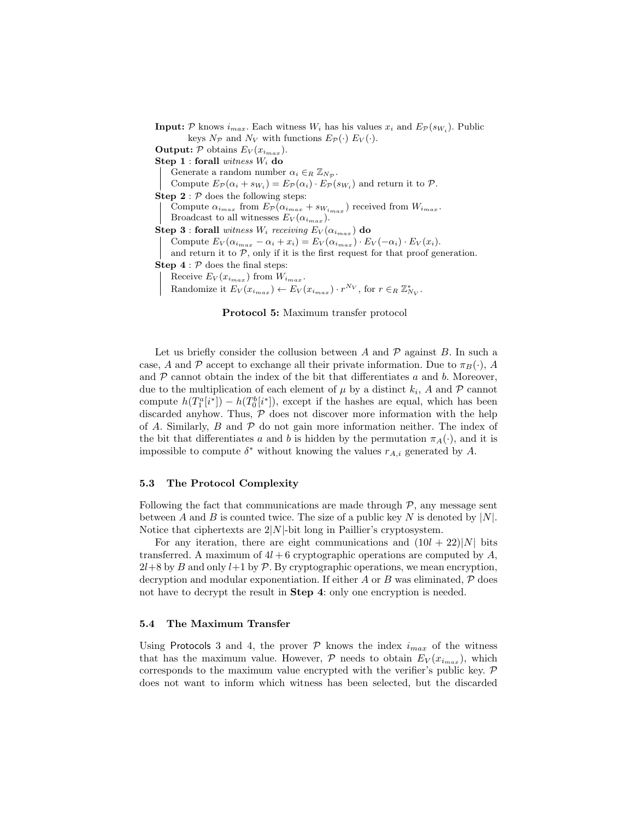**Input:**  $P$  knows  $i_{max}$ . Each witness  $W_i$  has his values  $x_i$  and  $E_P(s_{W_i})$ . Public keys  $N_{\mathcal{P}}$  and  $N_V$  with functions  $E_{\mathcal{P}}(\cdot)$   $E_V(\cdot)$ . **Output:**  $P$  obtains  $E_V(x_{i_{max}})$ . Step 1 : forall witness  $W_i$  do Generate a random number  $\alpha_i \in_R \mathbb{Z}_{N_{\mathcal{P}}}$ . Compute  $E_{\mathcal{P}}(\alpha_i + s_{W_i}) = E_{\mathcal{P}}(\alpha_i) \cdot E_{\mathcal{P}}(s_{W_i})$  and return it to  $\mathcal{P}$ . **Step 2** :  $P$  does the following steps: Compute  $\alpha_{i_{max}}$  from  $E_{\mathcal{P}}(\alpha_{i_{max}} + s_{W_{i_{max}}})$  received from  $W_{i_{max}}$ . Broadcast to all witnesses  $E_V(\alpha_{i_{max}})$ . Step 3 : forall witness  $W_i$  receiving  $E_V(\alpha_{i_{max}})$  do Compute  $E_V(\alpha_{i_{max}} - \alpha_i + x_i) = E_V(\alpha_{i_{max}}) \cdot E_V(-\alpha_i) \cdot E_V(x_i)$ . and return it to  $P$ , only if it is the first request for that proof generation. **Step 4** :  $\mathcal{P}$  does the final steps: Receive  $E_V(x_{i_{max}})$  from  $W_{i_{max}}$ . Randomize it  $E_V(x_{i_{max}}) \leftarrow E_V(x_{i_{max}}) \cdot r^{N_V}$ , for  $r \in_R \mathbb{Z}_{N_V}^*$ .

Protocol 5: Maximum transfer protocol

Let us briefly consider the collusion between A and  $\mathcal P$  against B. In such a case, A and P accept to exchange all their private information. Due to  $\pi_B(\cdot)$ , A and  $P$  cannot obtain the index of the bit that differentiates a and b. Moreover, due to the multiplication of each element of  $\mu$  by a distinct  $k_i$ , A and P cannot compute  $h(T_1^a[i^*]) - h(T_0^b[i^*])$ , except if the hashes are equal, which has been discarded anyhow. Thus,  $P$  does not discover more information with the help of A. Similarly,  $B$  and  $\mathcal P$  do not gain more information neither. The index of the bit that differentiates a and b is hidden by the permutation  $\pi_A(\cdot)$ , and it is impossible to compute  $\delta^*$  without knowing the values  $r_{A,i}$  generated by A.

### 5.3 The Protocol Complexity

Following the fact that communications are made through  $P$ , any message sent between A and B is counted twice. The size of a public key N is denoted by  $|N|$ . Notice that ciphertexts are  $2|N|$ -bit long in Paillier's cryptosystem.

For any iteration, there are eight communications and  $(10l + 22)|N|$  bits transferred. A maximum of  $4l + 6$  cryptographic operations are computed by A,  $2l+8$  by B and only  $l+1$  by P. By cryptographic operations, we mean encryption, decryption and modular exponentiation. If either  $A$  or  $B$  was eliminated,  $\mathcal P$  does not have to decrypt the result in **Step 4**: only one encryption is needed.

#### 5.4 The Maximum Transfer

Using Protocols 3 and 4, the prover  $P$  knows the index  $i_{max}$  of the witness that has the maximum value. However,  $P$  needs to obtain  $E_V(x_{i_{max}})$ , which corresponds to the maximum value encrypted with the verifier's public key.  $P$ does not want to inform which witness has been selected, but the discarded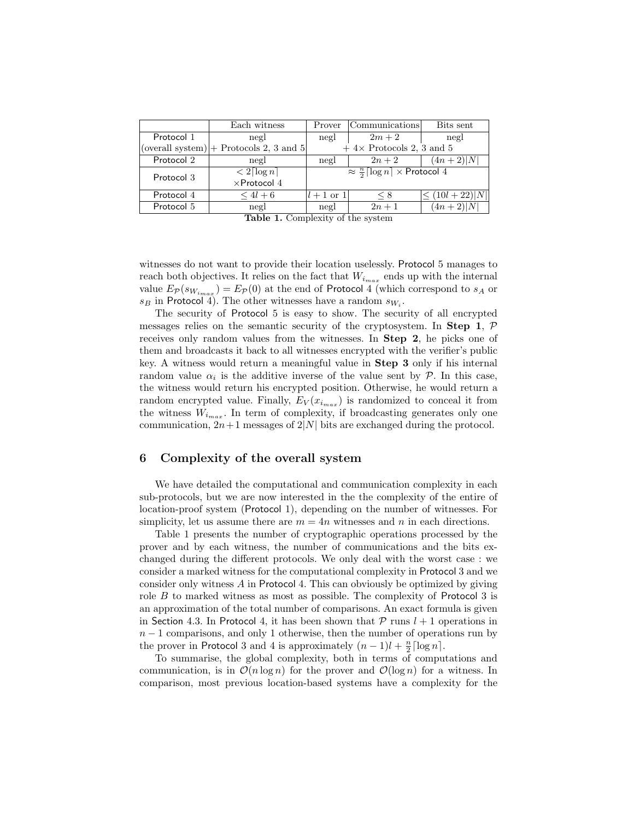| Each witness                | Prover                                                       |                                                                                 | Bits sent                                         |
|-----------------------------|--------------------------------------------------------------|---------------------------------------------------------------------------------|---------------------------------------------------|
| negl                        | negl                                                         | $2m+2$                                                                          | negl                                              |
|                             | $+4\times$ Protocols 2, 3 and 5                              |                                                                                 |                                                   |
| negl                        | negl                                                         | $2n+2$                                                                          | $(4n+2) N $                                       |
| $\lt 2\lceil \log n \rceil$ | $\approx \frac{n}{2} \lceil \log n \rceil \times$ Protocol 4 |                                                                                 |                                                   |
| $\times$ Protocol 4         |                                                              |                                                                                 |                                                   |
| $\leq 4l+6$                 |                                                              | $\leq 8$                                                                        | $\leq (10l + 22) N $                              |
| negl                        | negl                                                         | $2n+1$                                                                          | $(4n+2)\overline{ N }$                            |
|                             |                                                              | (overall system) $ +$ Protocols 2, 3 and 5<br>$m + 1$<br>$\sim$<br>$\mathbf{H}$ | Communications<br>$l+1$ or 1<br>$\cdots$ $\cdots$ |

Table 1. Complexity of the system

witnesses do not want to provide their location uselessly. Protocol 5 manages to reach both objectives. It relies on the fact that  $W_{i_{max}}$  ends up with the internal value  $E_{\mathcal{P}}(s_{W_{i_{max}}}) = E_{\mathcal{P}}(0)$  at the end of Protocol 4 (which correspond to  $s_A$  or  $s_B$  in Protocol 4). The other witnesses have a random  $s_{W_i}$ .

The security of Protocol 5 is easy to show. The security of all encrypted messages relies on the semantic security of the cryptosystem. In Step 1,  $\mathcal{P}$ receives only random values from the witnesses. In Step 2, he picks one of them and broadcasts it back to all witnesses encrypted with the verifier's public key. A witness would return a meaningful value in Step 3 only if his internal random value  $\alpha_i$  is the additive inverse of the value sent by  $P$ . In this case, the witness would return his encrypted position. Otherwise, he would return a random encrypted value. Finally,  $E_V(x_{i_{max}})$  is randomized to conceal it from the witness  $W_{i_{max}}$ . In term of complexity, if broadcasting generates only one communication,  $2n+1$  messages of  $2|N|$  bits are exchanged during the protocol.

### 6 Complexity of the overall system

We have detailed the computational and communication complexity in each sub-protocols, but we are now interested in the the complexity of the entire of location-proof system (Protocol 1), depending on the number of witnesses. For simplicity, let us assume there are  $m = 4n$  witnesses and n in each directions.

Table 1 presents the number of cryptographic operations processed by the prover and by each witness, the number of communications and the bits exchanged during the different protocols. We only deal with the worst case : we consider a marked witness for the computational complexity in Protocol 3 and we consider only witness A in Protocol 4. This can obviously be optimized by giving role  $B$  to marked witness as most as possible. The complexity of Protocol 3 is an approximation of the total number of comparisons. An exact formula is given in Section 4.3. In Protocol 4, it has been shown that  $P$  runs  $l + 1$  operations in  $n-1$  comparisons, and only 1 otherwise, then the number of operations run by the prover in Protocol 3 and 4 is approximately  $(n-1)l + \frac{n}{2} \lceil \log n \rceil$ .

To summarise, the global complexity, both in terms of computations and communication, is in  $\mathcal{O}(n \log n)$  for the prover and  $\mathcal{O}(\log n)$  for a witness. In comparison, most previous location-based systems have a complexity for the